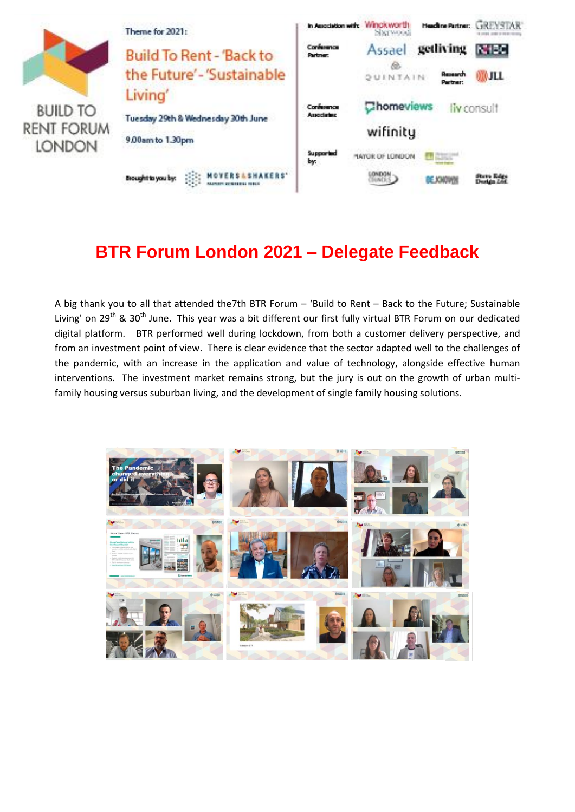

# **BTR Forum London 2021 – Delegate Feedback**

A big thank you to all that attended the7th BTR Forum – 'Build to Rent – Back to the Future; Sustainable Living' on 29<sup>th</sup> & 30<sup>th</sup> June. This year was a bit different our first fully virtual BTR Forum on our dedicated digital platform. BTR performed well during lockdown, from both a customer delivery perspective, and from an investment point of view. There is clear evidence that the sector adapted well to the challenges of the pandemic, with an increase in the application and value of technology, alongside effective human interventions. The investment market remains strong, but the jury is out on the growth of urban multifamily housing versus suburban living, and the development of single family housing solutions.

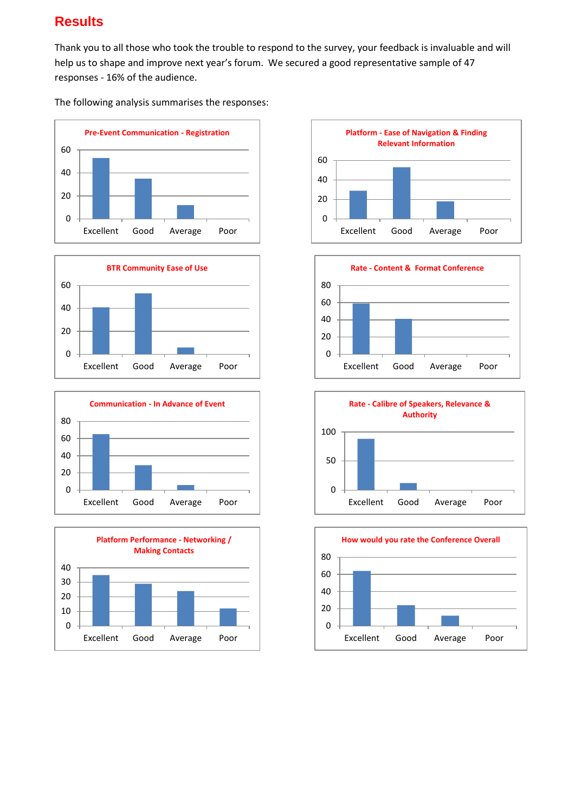## **Results**

Thank you to all those who took the trouble to respond to the survey, your feedback is invaluable and will help us to shape and improve next year's forum. We secured a good representative sample of 47 responses - 16% of the audience.

The following analysis summarises the responses: